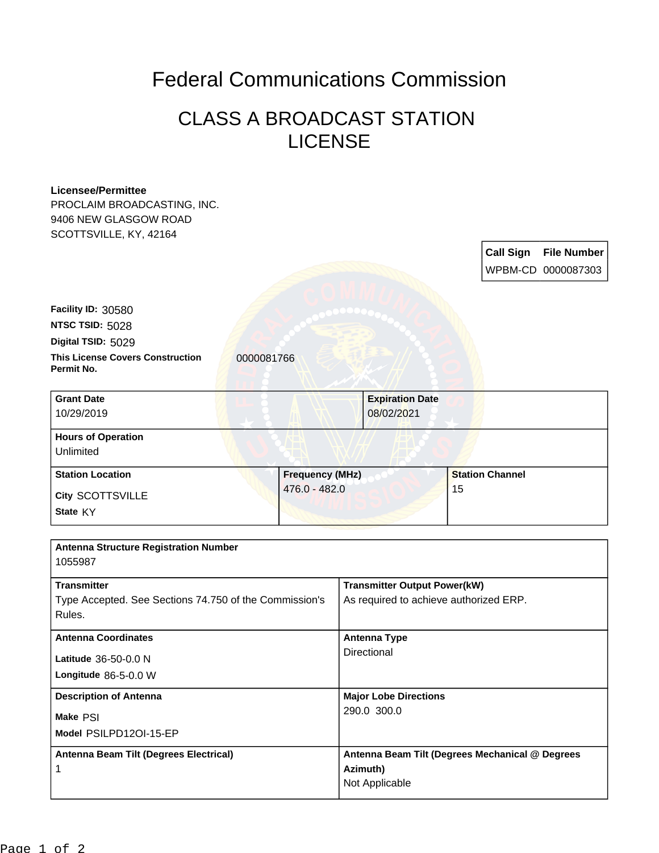## Federal Communications Commission

## CLASS A BROADCAST STATION LICENSE

| <b>Licensee/Permittee</b>                              |                        |                                        |                                                 |  |
|--------------------------------------------------------|------------------------|----------------------------------------|-------------------------------------------------|--|
| PROCLAIM BROADCASTING, INC.                            |                        |                                        |                                                 |  |
| 9406 NEW GLASGOW ROAD                                  |                        |                                        |                                                 |  |
| SCOTTSVILLE, KY, 42164                                 |                        |                                        |                                                 |  |
|                                                        |                        |                                        | <b>Call Sign</b><br><b>File Number</b>          |  |
|                                                        |                        |                                        | WPBM-CD 0000087303                              |  |
|                                                        |                        |                                        |                                                 |  |
|                                                        |                        |                                        |                                                 |  |
| Facility ID: 30580                                     |                        |                                        |                                                 |  |
| NTSC TSID: 5028                                        |                        |                                        |                                                 |  |
| Digital TSID: 5029                                     |                        |                                        |                                                 |  |
| <b>This License Covers Construction</b><br>Permit No.  | 0000081766             |                                        |                                                 |  |
| <b>Grant Date</b>                                      |                        | <b>Expiration Date</b>                 |                                                 |  |
| 10/29/2019                                             |                        | 08/02/2021                             |                                                 |  |
|                                                        |                        |                                        |                                                 |  |
| <b>Hours of Operation</b>                              |                        |                                        |                                                 |  |
| Unlimited                                              |                        |                                        |                                                 |  |
| <b>Station Location</b>                                | <b>Frequency (MHz)</b> |                                        | <b>Station Channel</b>                          |  |
| <b>City SCOTTSVILLE</b>                                | 476.0 - 482.0          |                                        | 15                                              |  |
| State KY                                               |                        |                                        |                                                 |  |
|                                                        |                        |                                        |                                                 |  |
|                                                        |                        |                                        |                                                 |  |
| <b>Antenna Structure Registration Number</b>           |                        |                                        |                                                 |  |
| 1055987                                                |                        |                                        |                                                 |  |
| <b>Transmitter</b>                                     |                        | <b>Transmitter Output Power(kW)</b>    |                                                 |  |
| Type Accepted. See Sections 74.750 of the Commission's |                        | As required to achieve authorized ERP. |                                                 |  |
| Rules.                                                 |                        |                                        |                                                 |  |
| <b>Antenna Coordinates</b>                             |                        | <b>Antenna Type</b>                    |                                                 |  |
|                                                        |                        | Directional                            |                                                 |  |
| Latitude 36-50-0.0 N                                   |                        |                                        |                                                 |  |
| Longitude 86-5-0.0 W                                   |                        |                                        |                                                 |  |
| <b>Description of Antenna</b>                          |                        | <b>Major Lobe Directions</b>           |                                                 |  |
| Make PSI                                               |                        | 290.0 300.0                            |                                                 |  |
| Model PSILPD12OI-15-EP                                 |                        |                                        |                                                 |  |
|                                                        |                        |                                        |                                                 |  |
| Antenna Beam Tilt (Degrees Electrical)                 |                        |                                        | Antenna Beam Tilt (Degrees Mechanical @ Degrees |  |
| 1                                                      |                        | Azimuth)                               |                                                 |  |
|                                                        |                        | Not Applicable                         |                                                 |  |
|                                                        |                        |                                        |                                                 |  |